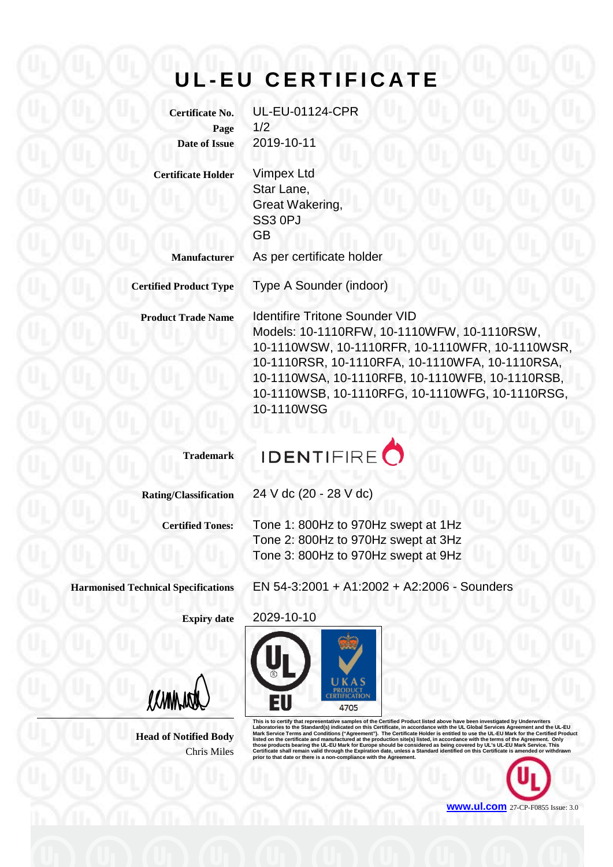## **U L - EU CERTIFICATE**

**Certificate No.** UL-EU-01124-CPR **Page** 1/2 **Date of Issue** 2019-10-11

**Certificate Holder** Vimpex Ltd

Star Lane, Great Wakering, SS3 0PJ GB

**Manufacturer** As per certificate holder

**Certified Product Type** Type A Sounder (indoor)

**Product Trade Name** Identifire Tritone Sounder VID Models: 10-1110RFW, 10-1110WFW, 10-1110RSW, 10-1110WSW, 10-1110RFR, 10-1110WFR, 10-1110WSR, 10-1110RSR, 10-1110RFA, 10-1110WFA, 10-1110RSA, 10-1110WSA, 10-1110RFB, 10-1110WFB, 10-1110RSB, 10-1110WSB, 10-1110RFG, 10-1110WFG, 10-1110RSG, 10-1110WSG

**Trademark**



**Rating/Classification** 24 V dc (20 - 28 V dc)

**Certified Tones:** Tone 1: 800Hz to 970Hz swept at 1Hz Tone 2: 800Hz to 970Hz swept at 3Hz Tone 3: 800Hz to 970Hz swept at 9Hz

**Harmonised Technical Specifications** EN 54-3:2001 + A1:2002 + A2:2006 - Sounders

**Expiry date** 2029-10-10

(CANNAL

**Head of Notified Body** Chris Miles



This is to certify that representative samples of the Certified Product listed above have been investigated by Underwriters<br>Laboratories to the Standard(s) indicated on this Certificate, in accordance with the UL Global Se